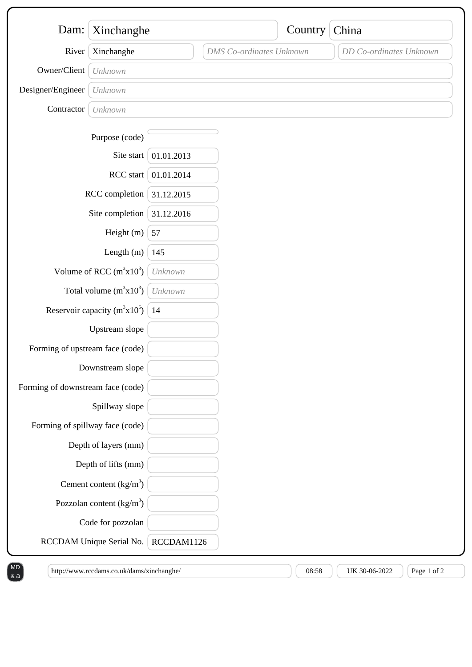| Dam:                              | Xinchanghe                 |            |                                 | Country | China                   |
|-----------------------------------|----------------------------|------------|---------------------------------|---------|-------------------------|
| River                             | Xinchanghe                 |            | <b>DMS</b> Co-ordinates Unknown |         | DD Co-ordinates Unknown |
| Owner/Client                      | Unknown                    |            |                                 |         |                         |
| Designer/Engineer                 | Unknown                    |            |                                 |         |                         |
| Contractor                        | Unknown                    |            |                                 |         |                         |
|                                   | Purpose (code)             |            |                                 |         |                         |
|                                   | Site start                 | 01.01.2013 |                                 |         |                         |
|                                   | RCC start                  | 01.01.2014 |                                 |         |                         |
| RCC completion                    |                            | 31.12.2015 |                                 |         |                         |
| Site completion                   |                            | 31.12.2016 |                                 |         |                         |
| Height (m)                        |                            | 57         |                                 |         |                         |
|                                   | Length $(m)$               | 145        |                                 |         |                         |
| Volume of RCC $(m^3x10^3)$        |                            | Unknown    |                                 |         |                         |
| Total volume $(m^3x10^3)$         |                            | Unknown    |                                 |         |                         |
| Reservoir capacity ( $m^3x10^6$ ) |                            | 14         |                                 |         |                         |
|                                   | Upstream slope             |            |                                 |         |                         |
| Forming of upstream face (code)   |                            |            |                                 |         |                         |
| Downstream slope                  |                            |            |                                 |         |                         |
| Forming of downstream face (code) |                            |            |                                 |         |                         |
|                                   | Spillway slope             |            |                                 |         |                         |
| Forming of spillway face (code)   |                            |            |                                 |         |                         |
|                                   | Depth of layers (mm)       |            |                                 |         |                         |
|                                   | Depth of lifts (mm)        |            |                                 |         |                         |
|                                   | Cement content $(kg/m3)$   |            |                                 |         |                         |
|                                   | Pozzolan content $(kg/m3)$ |            |                                 |         |                         |
|                                   | Code for pozzolan          |            |                                 |         |                         |
| RCCDAM Unique Serial No.          |                            | RCCDAM1126 |                                 |         |                         |

& a